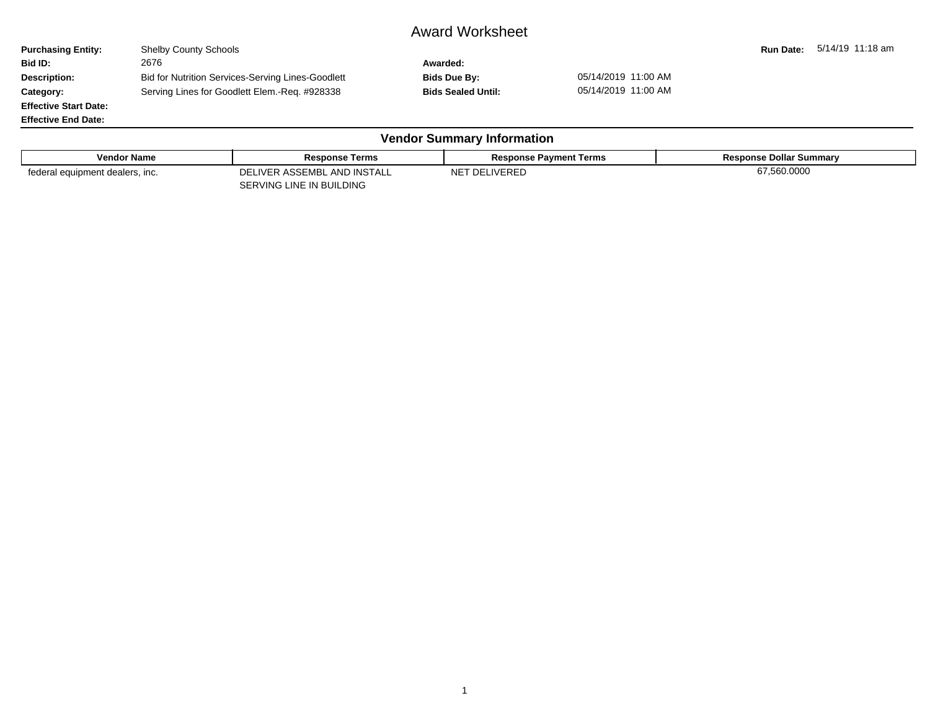## Award Worksheet

**Purchasing Entity:** Shelby County Schools **Run Date: 5/14/19 11:18 am**<br> **Run Date:** 5/14/19 11:18 am<br> **Rid ID:** 2676 2676 **Bid ID:** 2676 **Awarded:** Description: Bid for Nutrition Services-Serving Lines-Goodlett Bids Due By: 05/14/2019 11:00 AM **Category:** Serving Lines for Goodlett Elem.-Req. #928338 **Bids Sealed Until:** 05/14/2019 11:00 AM **Effective Start Date:**

**Effective End Date:**

| <b>Vendor Summary Information</b> |                                                         |                               |                                |  |  |  |  |  |  |  |
|-----------------------------------|---------------------------------------------------------|-------------------------------|--------------------------------|--|--|--|--|--|--|--|
| <b>Vendor Name</b>                | <b>Response Terms</b>                                   | <b>Response Payment Terms</b> | <b>Response Dollar Summary</b> |  |  |  |  |  |  |  |
| federal equipment dealers, inc.   | DELIVER ASSEMBL AND INSTALL<br>SERVING LINE IN BUILDING | NET DELIVERED                 | 67,560.0000                    |  |  |  |  |  |  |  |